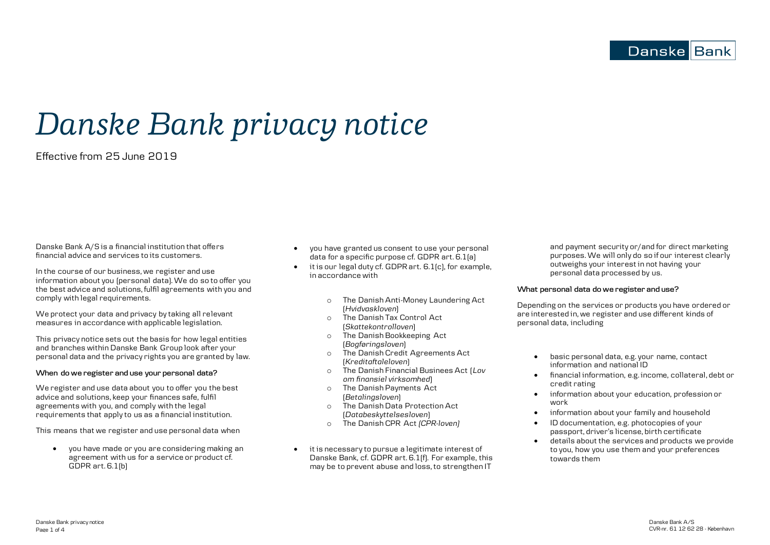**Danske Bank** 

# *Danske Bank privacy notice*

Effective from 25 June 2019

Danske Bank A/S is a financial institution that offers financial advice and services to its customers.

In the course of our business, we register and use information about you (personal data). We do so to offer you the best advice and solutions, fulfil agreements with you and comply with legal requirements.

We protect your data and privacy by taking all relevant measures in accordance with applicable legislation.

This privacy notice sets out the basis for how legal entities and branches within Danske Bank Group look after your personal data and the privacy rights you are granted by law.

# **When do we register and use your personal data?**

We register and use data about you to offer you the best advice and solutions, keep your finances safe, fulfil agreements with you, and comply with the legal requirements that apply to us as a financial institution.

This means that we register and use personal data when

 you have made or you are considering making an agreement with us for a service or product cf. GDPR art. 6.1(b)

- you have granted us consent to use your personal data for a specific purpose cf. GDPR art. 6.1(a)
- it is our legal duty cf. GDPR art. 6.1(c), for example, in accordance with
	- o The Danish Anti-Money Laundering Act (*Hvidvaskloven*)
	- The Danish Tax Control Act (*Skattekontrolloven*)
	- The Danish Bookkeeping Act (*Bogføringsloven*)
	- o The Danish Credit Agreements Act (*Kreditaftaleloven*)
	- o The Danish Financial Businees Act (*Lov om finansiel virksomhed*)
	- o The Danish Payments Act (*Betalingsloven*)
	- o The Danish Data Protection Act (*Databeskyttelsesloven*)
	- o The Danish CPR Act *(CPR-loven)*
- it is necessary to pursue a legitimate interest of Danske Bank, cf. GDPR art. 6.1(f). For example, this may be to prevent abuse and loss, to strengthen IT

and payment security or/and for direct marketing purposes. We will only do so if our interest clearly outweighs your interest in not having your personal data processed by us.

#### **What personal data do we register and use?**

Depending on the services or products you have ordered or are interested in, we register and use different kinds of personal data, including

- basic personal data, e.g. your name, contact information and national ID
- financial information, e.g. income, collateral, debt or credit rating
- information about your education, profession or work
- information about your family and household
- ID documentation, e.g. photocopies of your passport, driver's license, birth certificate
- details about the services and products we provide to you, how you use them and your preferences towards them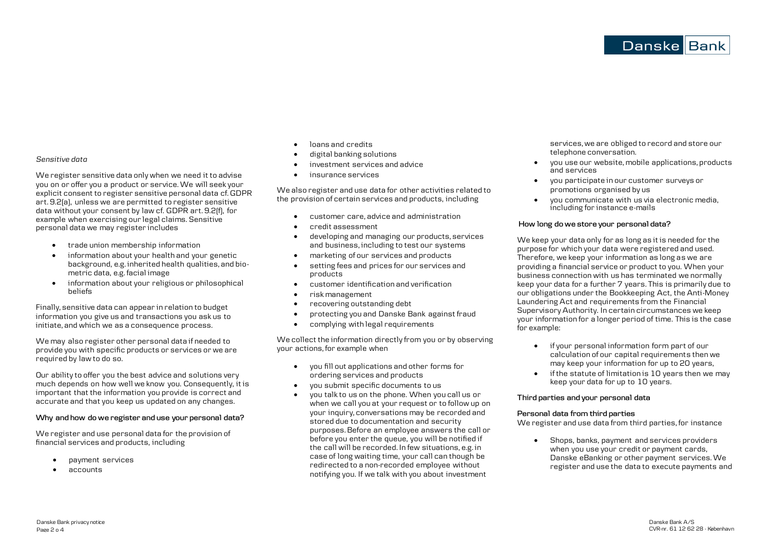#### *Sensitive data*

We register sensitive data only when we need it to advise you on or offer you a product or service. We will seek your explicit consent to register sensitive personal data cf. GDPR art. 9.2(a), unless we are permitted to register sensitive data without your consent by law cf. GDPR art. 9.2(f), for example when exercising our legal claims. Sensitive personal data we may register includes

- trade union membership information
- information about your health and your genetic background, e.g. inherited health qualities, and biometric data, e.g. facial image
- information about your religious or philosophical beliefs

Finally, sensitive data can appear in relation to budget information you give us and transactions you ask us to initiate, and which we as a consequence process.

We may also register other personal data if needed to provide you with specific products or services or we are required by law to do so.

Our ability to offer you the best advice and solutions very much depends on how well we know you. Consequently, it is important that the information you provide is correct and accurate and that you keep us updated on any changes.

### **Why and how do we register and use your personal data?**

We register and use personal data for the provision of financial services and products, including

- payment services
- accounts
- loans and credits
- digital banking solutions
- investment services and advice
- insurance services

We also register and use data for other activities related to the provision of certain services and products, including

- customer care, advice and administration
- credit assessment
- developing and managing our products, services and business, including to test our systems
- marketing of our services and products
- setting fees and prices for our services and products
- customer identification and verification
- risk management
- recovering outstanding debt
- protecting you and Danske Bank against fraud
- complying with legal requirements

We collect the information directly from you or by observing your actions, for example when

- you fill out applications and other forms for ordering services and products
- you submit specific documents to us
- you talk to us on the phone. When you call us or when we call you at your request or to follow up on your inquiry, conversations may be recorded and stored due to documentation and security purposes. Before an employee answers the call or before you enter the queue, you will be notified if the call will be recorded. In few situations, e.g. in case of long waiting time, your call can though be redirected to a non-recorded employee without notifying you. If we talk with you about investment

services, we are obliged to record and store our telephone conversation.

- you use our website, mobile applications, products and services
- you participate in our customer surveys or promotions organised by us
- you communicate with us via electronic media, including for instance e-mails

#### **How long do we store your personal data?**

We keep your data only for as long as it is needed for the purpose for which your data were registered and used. Therefore, we keep your information as long as we are providing a financial service or product to you. When your business connection with us has terminated we normally keep your data for a further 7 years. This is primarily due to our obligations under the Bookkeeping Act, the Anti-Money Laundering Act and requirements from the Financial Supervisory Authority. In certain circumstances we keep your information for a longer period of time. This is the case for example:

- if your personal information form part of our calculation of our capital requirements then we may keep your information for up to 20 years,
- if the statute of limitation is 10 years then we may keep your data for up to 10 years.

#### **Third parties and your personal data**

#### **Personal data from third parties**

We register and use data from third parties, for instance

 Shops, banks, payment and services providers when you use your credit or payment cards. Danske eBanking or other payment services. We register and use the data to execute payments and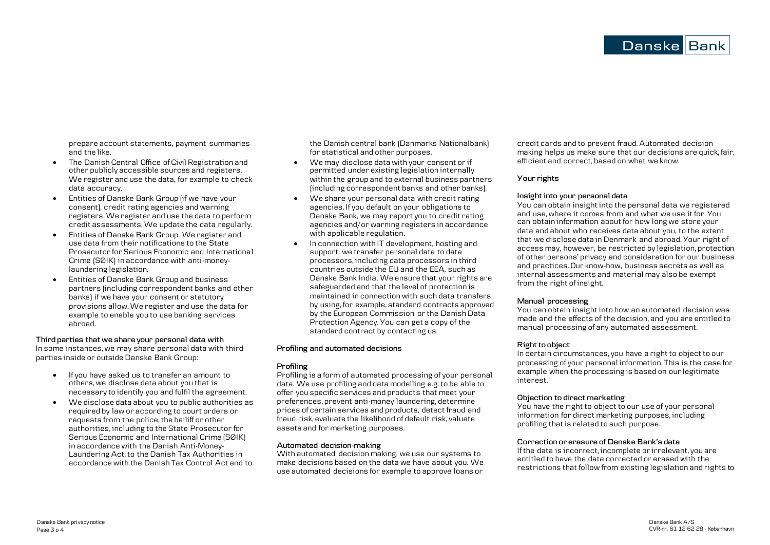prepare account statements, payment summaries and the like.

- The Danish Central Office of Civil Registration and other publicly accessible sources and registers. We register and use the data, for example to check data accuracy.
- Entities of Danske Bank Group (if we have your consent), credit rating agencies and warning registers. We register and use the data to perform credit assessments. We update the data regularly.
- Entities of Danske Bank Group. We register and use data from their notifications to the State Prosecutor for Serious Economic and International Crime (SØIK) in accordance with anti-moneylaundering legislation.
- Entities of Danske Bank Group and business partners (including correspondent banks and other banks) if we have your consent or statutory provisions allow. We register and use the data for example to enable you to use banking services abroad.

#### **Third parties that we share your personal data with**

In some instances, we may share personal data with third parties inside or outside Danske Bank Group:

- If you have asked us to transfer an amount to others, we disclose data about you that is necessary to identify you and fulfil the agreement.
- We disclose data about you to public authorities as required by law or according to court orders or requests from the police, the bailiff or other authorities, including to the State Prosecutor for Serious Economic and International Crime (SØIK) in accordance with the Danish Anti-Money-Laundering Act, to the Danish Tax Authorities in accordance with the Danish Tax Control Act and to

the Danish central bank (Danmarks Nationalbank) for statistical and other purposes.

- We may disclose data with your consent or if permitted under existing legislation internally within the group and to external business partners (including correspondent banks and other banks).
- We share your personal data with credit rating agencies. If you default on your obligations to Danske Bank, we may report you to credit rating agencies and/or warning registers in accordance with applicable regulation.
- In connection with IT development, hosting and support, we transfer personal data to data processors, including data processors in third countries outside the EU and the EEA, such as Danske Bank India. We ensure that your rights are safeguarded and that the level of protection is maintained in connection with such data transfers by using, for example, standard contracts approved by the European Commission or the Danish Data Protection Agency. You can get a copy of the standard contract by contacting us.

#### **Profiling and automated decisions**

#### **Profiling**

Profiling is a form of automated processing of your personal data. We use profiling and data modelling e.g. to be able to offer you specific services and products that meet your preferences, prevent anti-money laundering, determine prices of certain services and products, detect fraud and fraud risk, evaluate the likelihood of default risk, valuate assets and for marketing purposes.

#### **Automated decision-making**

With automated decision making, we use our systems to make decisions based on the data we have about you. We use automated decisions for example to approve loans or credit cards and to prevent fraud. Automated decision making helps us make sure that our decisions are quick, fair, efficient and correct, based on what we know.

#### **Your rights**

#### **Insight into your personal data**

You can obtain insight into the personal data we registered and use, where it comes from and what we use it for. You can obtain information about for how long we store your data and about who receives data about you, to the extent that we disclose data in Denmark and abroad. Your right of access may, however, be restricted by legislation, protection of other persons' privacy and consideration for our business and practices. Our know-how, business secrets as well as internal assessments and material may also be exempt from the right of insight.

#### **Manual processing**

You can obtain insight into how an automated decision was made and the effects of the decision, and you are entitled to manual processing of any automated assessment.

#### **Right to object**

In certain circumstances, you have a right to object to our processing of your personal information. This is the case for example when the processing is based on our legitimate interest.

#### **Objection to direct marketing**

You have the right to object to our use of your personal information for direct marketing purposes, including profiling that is related to such purpose.

#### **Correction or erasure of Danske Bank's data**

If the data is incorrect, incomplete or irrelevant, you are entitled to have the data corrected or erased with the restrictions that follow from existing legislation and rights to